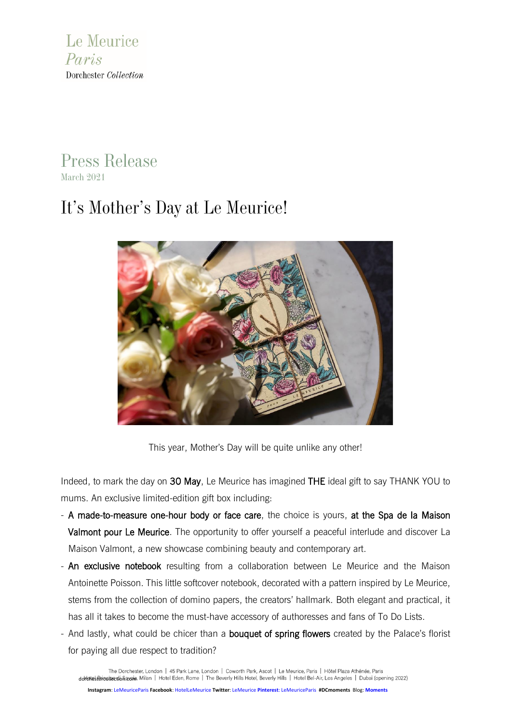

# Press Release March 2021

# It's Mother's Day at Le Meurice!



This year, Mother's Day will be quite unlike any other!

Indeed, to mark the day on 30 May, Le Meurice has imagined THE ideal gift to say THANK YOU to mums. An exclusive limited-edition gift box including:

- A made-to-measure one-hour body or face care, the choice is yours, at the Spa de la Maison Valmont pour Le Meurice. The opportunity to offer yourself a peaceful interlude and discover La Maison Valmont, a new showcase combining beauty and contemporary art.
- An exclusive notebook resulting from a collaboration between Le Meurice and the Maison Antoinette Poisson. This little softcover notebook, decorated with a pattern inspired by Le Meurice, stems from the collection of domino papers, the creators' hallmark. Both elegant and practical, it has all it takes to become the must-have accessory of authoresses and fans of To Do Lists.
- And lastly, what could be chicer than a **bouquet of spring flowers** created by the Palace's florist for paying all due respect to tradition?